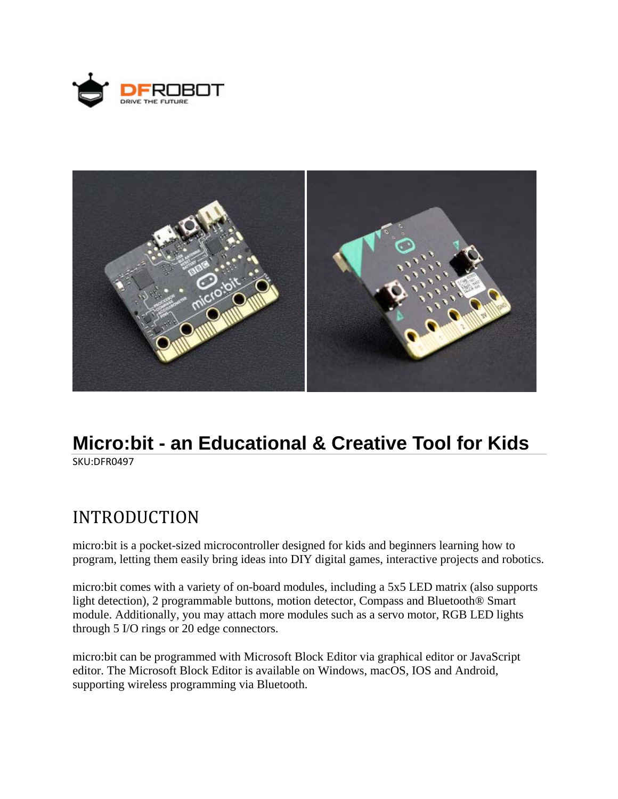



# **Micro:bit - an Educational & Creative Tool for Kids**

SKU:DFR0497

## INTRODUCTION

micro:bit is a pocket-sized microcontroller designed for kids and beginners learning how to program, letting them easily bring ideas into DIY digital games, interactive projects and robotics.

micro:bit comes with a variety of on-board modules, including a 5x5 LED matrix (also supports light detection), 2 programmable buttons, motion detector, Compass and Bluetooth® Smart module. Additionally, you may attach more modules such as a servo motor, RGB LED lights through 5 I/O rings or 20 edge connectors.

micro:bit can be programmed with Microsoft Block Editor via graphical editor or JavaScript editor. The Microsoft Block Editor is available on Windows, macOS, IOS and Android, supporting wireless programming via Bluetooth.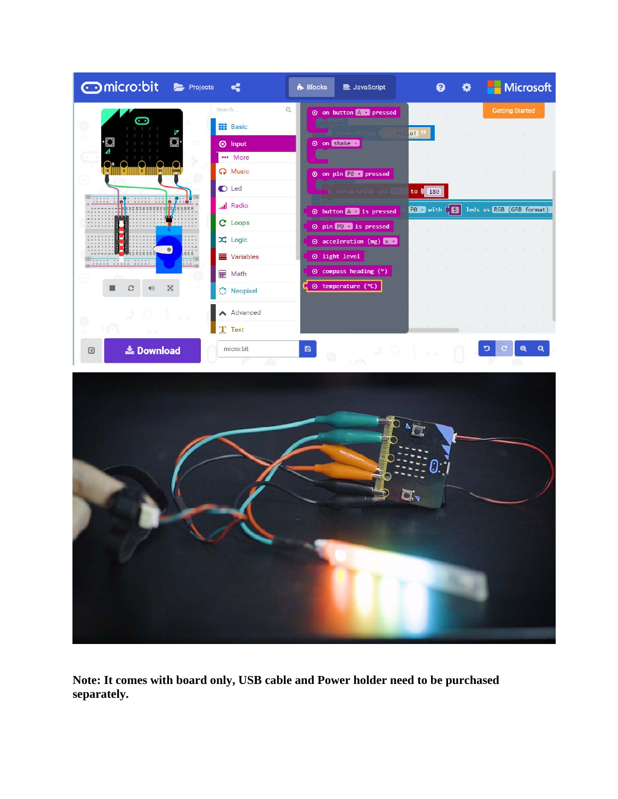



**Note: It comes with board only, USB cable and Power holder need to be purchased separately.**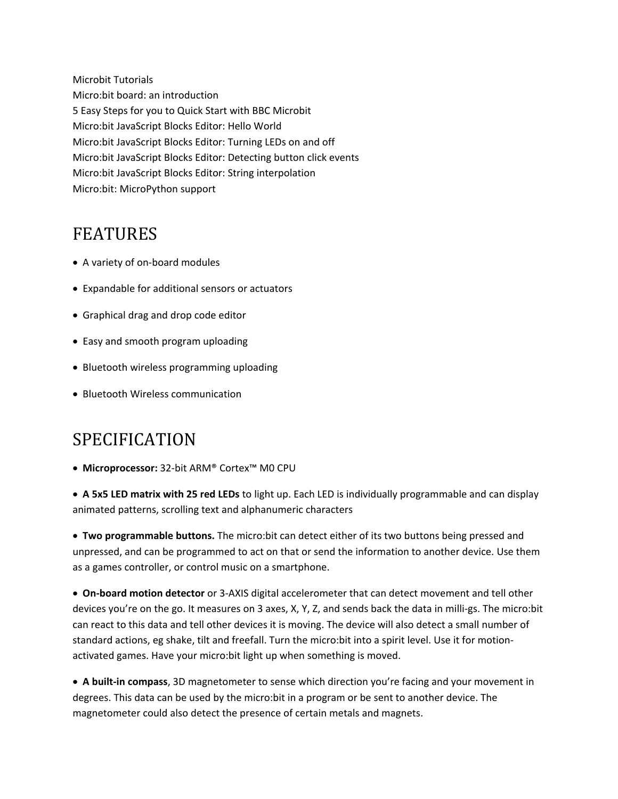Microbit Tutorials Micro:bit board: an introduction 5 Easy Steps for you to Quick Start with BBC Microbit Micro:bit JavaScript Blocks Editor: Hello World Micro:bit JavaScript Blocks Editor: Turning LEDs on and off Micro:bit JavaScript Blocks Editor: Detecting button click events Micro:bit JavaScript Blocks Editor: String interpolation Micro:bit: MicroPython support

### FEATURES

- A variety of on-board modules
- Expandable for additional sensors or actuators
- Graphical drag and drop code editor
- Easy and smooth program uploading
- Bluetooth wireless programming uploading
- Bluetooth Wireless communication

### SPECIFICATION

**Microprocessor:** 32‐bit ARM® Cortex™ M0 CPU

 **A 5x5 LED matrix with 25 red LEDs** to light up. Each LED is individually programmable and can display animated patterns, scrolling text and alphanumeric characters

 **Two programmable buttons.** The micro:bit can detect either of its two buttons being pressed and unpressed, and can be programmed to act on that or send the information to another device. Use them as a games controller, or control music on a smartphone.

 **On‐board motion detector** or 3‐AXIS digital accelerometer that can detect movement and tell other devices you're on the go. It measures on 3 axes, X, Y, Z, and sends back the data in milli‐gs. The micro:bit can react to this data and tell other devices it is moving. The device will also detect a small number of standard actions, eg shake, tilt and freefall. Turn the micro:bit into a spirit level. Use it for motion‐ activated games. Have your micro:bit light up when something is moved.

 **A built‐in compass**, 3D magnetometer to sense which direction you're facing and your movement in degrees. This data can be used by the micro:bit in a program or be sent to another device. The magnetometer could also detect the presence of certain metals and magnets.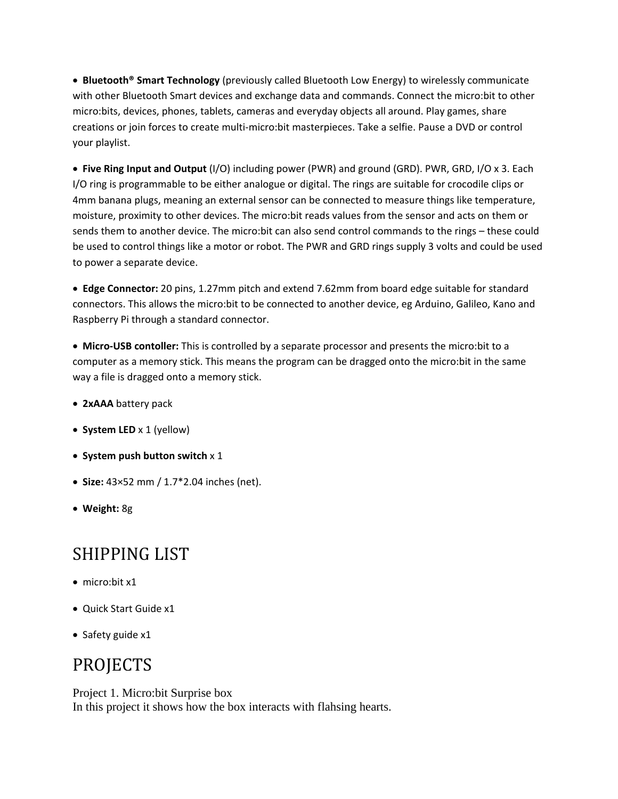**Bluetooth® Smart Technology** (previously called Bluetooth Low Energy) to wirelessly communicate with other Bluetooth Smart devices and exchange data and commands. Connect the micro:bit to other micro:bits, devices, phones, tablets, cameras and everyday objects all around. Play games, share creations or join forces to create multi‐micro:bit masterpieces. Take a selfie. Pause a DVD or control your playlist.

 **Five Ring Input and Output** (I/O) including power (PWR) and ground (GRD). PWR, GRD, I/O x 3. Each I/O ring is programmable to be either analogue or digital. The rings are suitable for crocodile clips or 4mm banana plugs, meaning an external sensor can be connected to measure things like temperature, moisture, proximity to other devices. The micro:bit reads values from the sensor and acts on them or sends them to another device. The micro:bit can also send control commands to the rings – these could be used to control things like a motor or robot. The PWR and GRD rings supply 3 volts and could be used to power a separate device.

 **Edge Connector:** 20 pins, 1.27mm pitch and extend 7.62mm from board edge suitable for standard connectors. This allows the micro:bit to be connected to another device, eg Arduino, Galileo, Kano and Raspberry Pi through a standard connector.

 **Micro‐USB contoller:** This is controlled by a separate processor and presents the micro:bit to a computer as a memory stick. This means the program can be dragged onto the micro:bit in the same way a file is dragged onto a memory stick.

- **2xAAA** battery pack
- **System LED** x 1 (yellow)
- **System push button switch** x 1
- **Size:** 43×52 mm / 1.7\*2.04 inches (net).
- **Weight:** 8g

### SHIPPING LIST

- micro:bit x1
- Quick Start Guide x1
- Safety guide x1

### PROJECTS

Project 1. Micro:bit Surprise box In this project it shows how the box interacts with flahsing hearts.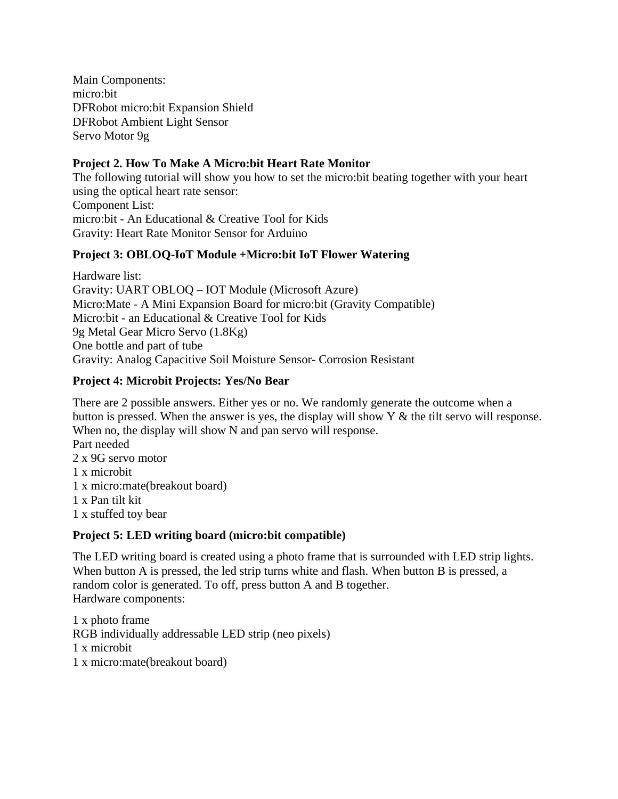Main Components: micro:bit DFRobot micro:bit Expansion Shield DFRobot Ambient Light Sensor Servo Motor 9g

#### **Project 2. How To Make A Micro:bit Heart Rate Monitor**

The following tutorial will show you how to set the micro:bit beating together with your heart using the optical heart rate sensor: Component List: micro:bit - An Educational & Creative Tool for Kids Gravity: Heart Rate Monitor Sensor for Arduino

#### **Project 3: OBLOQ-IoT Module +Micro:bit IoT Flower Watering**

Hardware list: Gravity: UART OBLOQ – IOT Module (Microsoft Azure) Micro:Mate - A Mini Expansion Board for micro:bit (Gravity Compatible) Micro:bit - an Educational & Creative Tool for Kids 9g Metal Gear Micro Servo (1.8Kg) One bottle and part of tube Gravity: Analog Capacitive Soil Moisture Sensor- Corrosion Resistant

#### **Project 4: Microbit Projects: Yes/No Bear**

There are 2 possible answers. Either yes or no. We randomly generate the outcome when a button is pressed. When the answer is yes, the display will show Y & the tilt servo will response. When no, the display will show N and pan servo will response.

Part needed 2 x 9G servo motor 1 x microbit 1 x micro:mate(breakout board) 1 x Pan tilt kit 1 x stuffed toy bear

#### **Project 5: LED writing board (micro:bit compatible)**

The LED writing board is created using a photo frame that is surrounded with LED strip lights. When button A is pressed, the led strip turns white and flash. When button B is pressed, a random color is generated. To off, press button A and B together. Hardware components:

1 x photo frame RGB individually addressable LED strip (neo pixels) 1 x microbit 1 x micro:mate(breakout board)